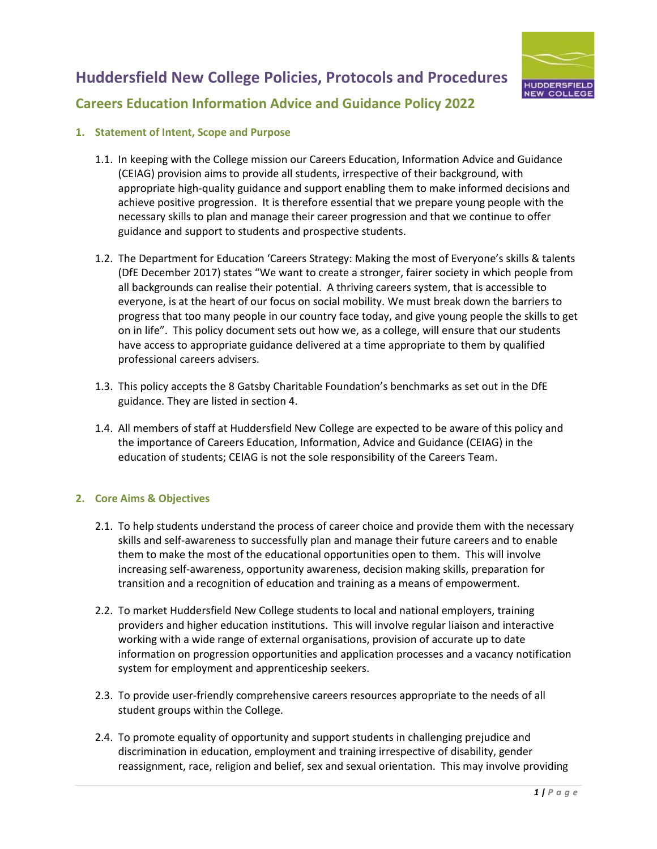



# **1. Statement of Intent, Scope and Purpose**

- 1.1. In keeping with the College mission our Careers Education, Information Advice and Guidance (CEIAG) provision aims to provide all students, irrespective of their background, with appropriate high-quality guidance and support enabling them to make informed decisions and achieve positive progression. It is therefore essential that we prepare young people with the necessary skills to plan and manage their career progression and that we continue to offer guidance and support to students and prospective students.
- 1.2. The Department for Education 'Careers Strategy: Making the most of Everyone's skills & talents (DfE December 2017) states "We want to create a stronger, fairer society in which people from all backgrounds can realise their potential. A thriving careers system, that is accessible to everyone, is at the heart of our focus on social mobility. We must break down the barriers to progress that too many people in our country face today, and give young people the skills to get on in life". This policy document sets out how we, as a college, will ensure that our students have access to appropriate guidance delivered at a time appropriate to them by qualified professional careers advisers.
- 1.3. This policy accepts the 8 Gatsby Charitable Foundation's benchmarks as set out in the DfE guidance. They are listed in section 4.
- 1.4. All members of staff at Huddersfield New College are expected to be aware of this policy and the importance of Careers Education, Information, Advice and Guidance (CEIAG) in the education of students; CEIAG is not the sole responsibility of the Careers Team.

#### **2. Core Aims & Objectives**

- 2.1. To help students understand the process of career choice and provide them with the necessary skills and self-awareness to successfully plan and manage their future careers and to enable them to make the most of the educational opportunities open to them. This will involve increasing self-awareness, opportunity awareness, decision making skills, preparation for transition and a recognition of education and training as a means of empowerment.
- 2.2. To market Huddersfield New College students to local and national employers, training providers and higher education institutions. This will involve regular liaison and interactive working with a wide range of external organisations, provision of accurate up to date information on progression opportunities and application processes and a vacancy notification system for employment and apprenticeship seekers.
- 2.3. To provide user-friendly comprehensive careers resources appropriate to the needs of all student groups within the College.
- 2.4. To promote equality of opportunity and support students in challenging prejudice and discrimination in education, employment and training irrespective of disability, gender reassignment, race, religion and belief, sex and sexual orientation. This may involve providing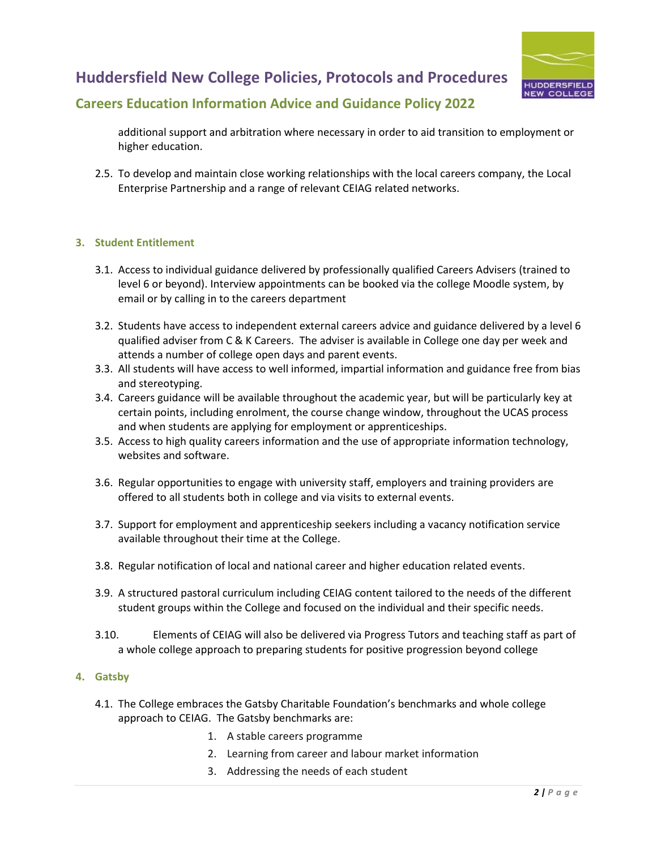

## **Huddersfield New College Policies, Protocols and Procedures**

### **Careers Education Information Advice and Guidance Policy 2022**

additional support and arbitration where necessary in order to aid transition to employment or higher education.

2.5. To develop and maintain close working relationships with the local careers company, the Local Enterprise Partnership and a range of relevant CEIAG related networks.

#### **3. Student Entitlement**

- 3.1. Access to individual guidance delivered by professionally qualified Careers Advisers (trained to level 6 or beyond). Interview appointments can be booked via the college Moodle system, by email or by calling in to the careers department
- 3.2. Students have access to independent external careers advice and guidance delivered by a level 6 qualified adviser from C & K Careers. The adviser is available in College one day per week and attends a number of college open days and parent events.
- 3.3. All students will have access to well informed, impartial information and guidance free from bias and stereotyping.
- 3.4. Careers guidance will be available throughout the academic year, but will be particularly key at certain points, including enrolment, the course change window, throughout the UCAS process and when students are applying for employment or apprenticeships.
- 3.5. Access to high quality careers information and the use of appropriate information technology, websites and software.
- 3.6. Regular opportunities to engage with university staff, employers and training providers are offered to all students both in college and via visits to external events.
- 3.7. Support for employment and apprenticeship seekers including a vacancy notification service available throughout their time at the College.
- 3.8. Regular notification of local and national career and higher education related events.
- 3.9. A structured pastoral curriculum including CEIAG content tailored to the needs of the different student groups within the College and focused on the individual and their specific needs.
- 3.10. Elements of CEIAG will also be delivered via Progress Tutors and teaching staff as part of a whole college approach to preparing students for positive progression beyond college

#### **4. Gatsby**

- 4.1. The College embraces the Gatsby Charitable Foundation's benchmarks and whole college approach to CEIAG. The Gatsby benchmarks are:
	- 1. A stable careers programme
	- 2. Learning from career and labour market information
	- 3. Addressing the needs of each student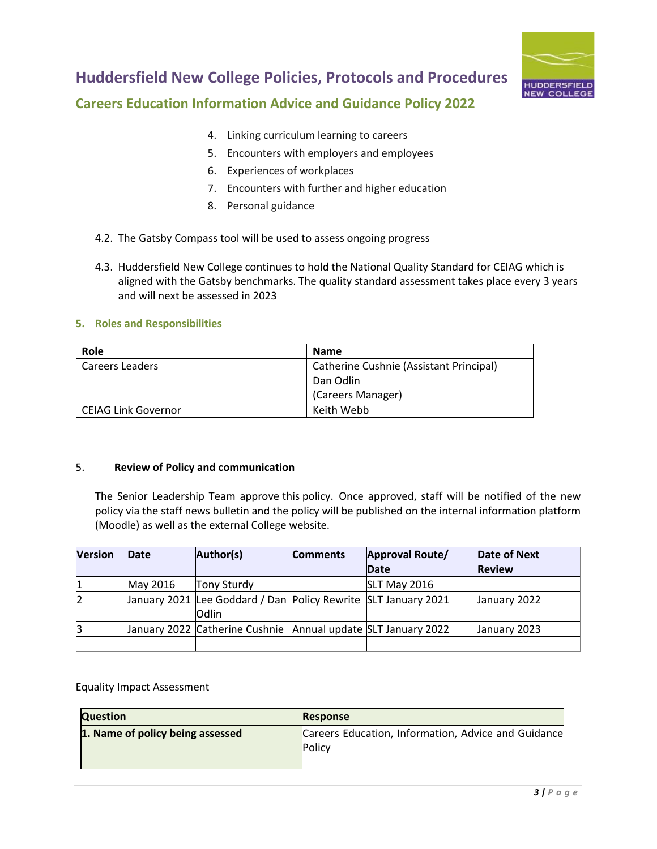

# **Huddersfield New College Policies, Protocols and Procedures**

## **Careers Education Information Advice and Guidance Policy 2022**

- 4. Linking curriculum learning to careers
- 5. Encounters with employers and employees
- 6. Experiences of workplaces
- 7. Encounters with further and higher education
- 8. Personal guidance
- 4.2. The Gatsby Compass tool will be used to assess ongoing progress
- 4.3. Huddersfield New College continues to hold the National Quality Standard for CEIAG which is aligned with the Gatsby benchmarks. The quality standard assessment takes place every 3 years and will next be assessed in 2023

#### **5. Roles and Responsibilities**

| <b>Role</b>         | <b>Name</b>                             |
|---------------------|-----------------------------------------|
| Careers Leaders     | Catherine Cushnie (Assistant Principal) |
|                     | Dan Odlin                               |
|                     | (Careers Manager)                       |
| CEIAG Link Governor | Keith Webb                              |

#### 5. **Review of Policy and communication**

The Senior Leadership Team approve this policy. Once approved, staff will be notified of the new policy via the staff news bulletin and the policy will be published on the internal information platform (Moodle) as well as the external College website.

| <b>Version</b> | Date     | Author(s)                                                               | <b>Comments</b> | Approval Route/     | Date of Next  |
|----------------|----------|-------------------------------------------------------------------------|-----------------|---------------------|---------------|
|                |          |                                                                         |                 | Date                | <b>Review</b> |
|                | May 2016 | <b>Tony Sturdy</b>                                                      |                 | <b>SLT May 2016</b> |               |
|                |          | January 2021 Lee Goddard / Dan Policy Rewrite SLT January 2021<br>Odlin |                 |                     | January 2022  |
| 13             |          | January 2022 Catherine Cushnie Annual update SLT January 2022           |                 |                     | January 2023  |
|                |          |                                                                         |                 |                     |               |

Equality Impact Assessment

| <b>Question</b>                  | <b>Response</b>                                                      |
|----------------------------------|----------------------------------------------------------------------|
| 1. Name of policy being assessed | Careers Education, Information, Advice and Guidance<br><b>Policy</b> |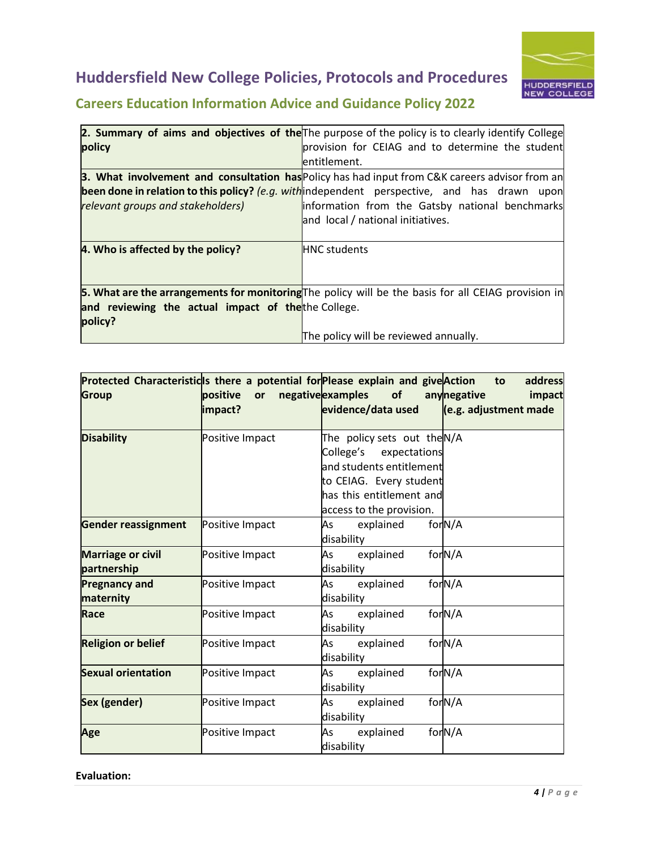# **Huddersfield New College Policies, Protocols and Procedures**



# **Careers Education Information Advice and Guidance Policy 2022**

|                                                                                                           | 2. Summary of aims and objectives of the The purpose of the policy is to clearly identify College   |  |
|-----------------------------------------------------------------------------------------------------------|-----------------------------------------------------------------------------------------------------|--|
| policy                                                                                                    | provision for CEIAG and to determine the student                                                    |  |
|                                                                                                           | entitlement.                                                                                        |  |
| <b>3. What involvement and consultation has Policy has had input from C&amp;K careers advisor from an</b> |                                                                                                     |  |
|                                                                                                           | <b>been done in relation to this policy?</b> (e.g. with independent perspective, and has drawn upon |  |
| relevant groups and stakeholders)                                                                         | information from the Gatsby national benchmarks                                                     |  |
|                                                                                                           | and local / national initiatives.                                                                   |  |
|                                                                                                           |                                                                                                     |  |
| 4. Who is affected by the policy?                                                                         | <b>HNC</b> students                                                                                 |  |
|                                                                                                           |                                                                                                     |  |
|                                                                                                           |                                                                                                     |  |
|                                                                                                           | 5. What are the arrangements for monitoring The policy will be the basis for all CEIAG provision in |  |
| and reviewing the actual impact of the the College.                                                       |                                                                                                     |  |
| policy?                                                                                                   |                                                                                                     |  |
|                                                                                                           | The policy will be reviewed annually.                                                               |  |

|                            |                 | Protected Characteristicls there a potential for Please explain and give Action to | address               |
|----------------------------|-----------------|------------------------------------------------------------------------------------|-----------------------|
| <b>Group</b>               | positive<br>or  | negative examples of                                                               | anynegative<br>impact |
|                            | impact?         | evidence/data used                                                                 | (e.g. adjustment made |
|                            |                 |                                                                                    |                       |
| <b>Disability</b>          | Positive Impact | The policy sets out theN/A                                                         |                       |
|                            |                 | College's expectations                                                             |                       |
|                            |                 | and students entitlement                                                           |                       |
|                            |                 | to CEIAG. Every student                                                            |                       |
|                            |                 | has this entitlement and                                                           |                       |
|                            |                 | access to the provision.                                                           |                       |
| <b>Gender reassignment</b> | Positive Impact | explained<br>As                                                                    | for <sub>N/A</sub>    |
|                            |                 | disability                                                                         |                       |
| <b>Marriage or civil</b>   | Positive Impact | explained<br>As                                                                    | for <sub>N/A</sub>    |
| partnership                |                 | disability                                                                         |                       |
| <b>Pregnancy and</b>       | Positive Impact | As<br>explained                                                                    | for <sub>N/A</sub>    |
| maternity                  |                 | disability                                                                         |                       |
| Race                       | Positive Impact | As<br>explained                                                                    | for <sub>N/A</sub>    |
|                            |                 | disability                                                                         |                       |
| <b>Religion or belief</b>  | Positive Impact | explained<br>As                                                                    | for <sub>N/A</sub>    |
|                            |                 | disability                                                                         |                       |
| <b>Sexual orientation</b>  | Positive Impact | As<br>explained                                                                    | for <sub>N/A</sub>    |
|                            |                 | disability                                                                         |                       |
| <b>Sex (gender)</b>        | Positive Impact | As<br>explained                                                                    | for <sub>N/A</sub>    |
|                            |                 | disability                                                                         |                       |
| Age                        | Positive Impact | As<br>explained                                                                    | for <sub>N/A</sub>    |
|                            |                 | disability                                                                         |                       |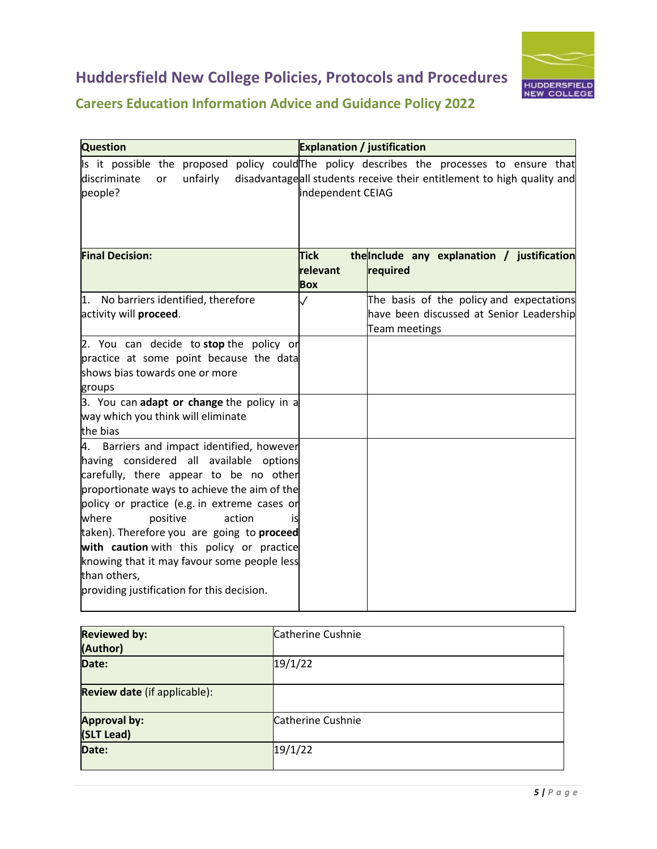



# **Careers Education Information Advice and Guidance Policy 2022**

| <b>Question</b>                                                                                                                                                                                                                                                                                                                                                                                                                                                              | <b>Explanation / justification</b>    |                                                                                                                                          |
|------------------------------------------------------------------------------------------------------------------------------------------------------------------------------------------------------------------------------------------------------------------------------------------------------------------------------------------------------------------------------------------------------------------------------------------------------------------------------|---------------------------------------|------------------------------------------------------------------------------------------------------------------------------------------|
| Is it possible the proposed<br>discriminate<br>unfairly<br><b>or</b><br>people?                                                                                                                                                                                                                                                                                                                                                                                              | independent CEIAG                     | policy could The policy describes the processes to ensure that<br>disadvantageall students receive their entitlement to high quality and |
| <b>Final Decision:</b>                                                                                                                                                                                                                                                                                                                                                                                                                                                       | <b>Tick</b><br>relevant<br><b>Box</b> | the Include any explanation / justification<br>required                                                                                  |
| 1. No barriers identified, therefore<br>activity will proceed.                                                                                                                                                                                                                                                                                                                                                                                                               | $\checkmark$                          | The basis of the policy and expectations<br>have been discussed at Senior Leadership<br><b>Team meetings</b>                             |
| 2. You can decide to stop the policy or<br>practice at some point because the data<br>shows bias towards one or more<br>groups                                                                                                                                                                                                                                                                                                                                               |                                       |                                                                                                                                          |
| 3. You can adapt or change the policy in a<br>way which you think will eliminate<br>the bias                                                                                                                                                                                                                                                                                                                                                                                 |                                       |                                                                                                                                          |
| 4. Barriers and impact identified, however<br>having considered all available options<br>carefully, there appear to be no other<br>proportionate ways to achieve the aim of the<br>policy or practice (e.g. in extreme cases or<br>where<br>positive<br>action<br>İS<br>taken). Therefore you are going to proceed<br>with caution with this policy or practice<br>knowing that it may favour some people less<br>than others,<br>providing justification for this decision. |                                       |                                                                                                                                          |

| <b>Reviewed by:</b><br>(Author)   | Catherine Cushnie |
|-----------------------------------|-------------------|
| Date:                             | 19/1/22           |
| Review date (if applicable):      |                   |
| <b>Approval by:</b><br>(SLT Lead) | Catherine Cushnie |
| Date:                             | 19/1/22           |